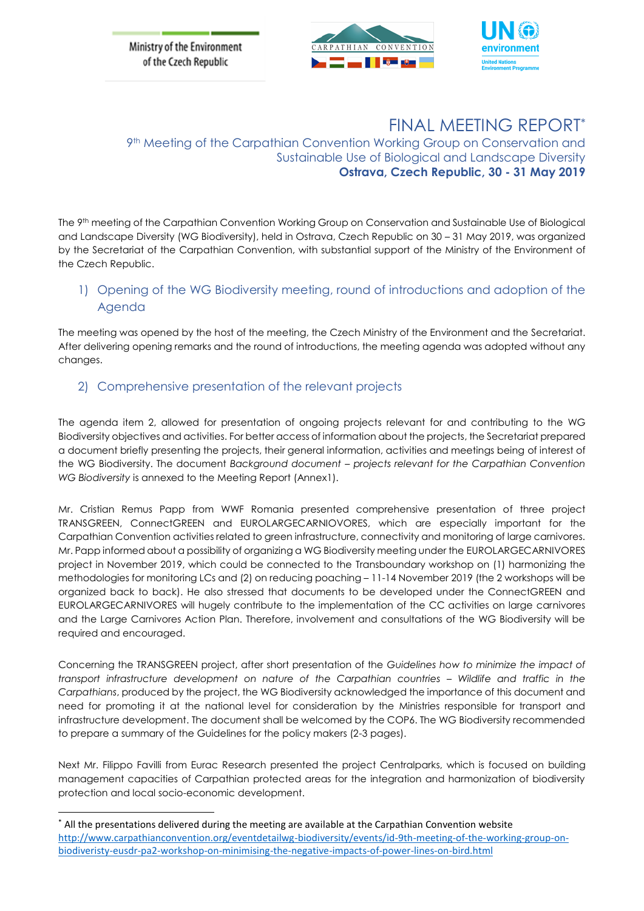Ministry of the Environment of the Czech Republic





# FINAL MEETING REPORT\*

9th Meeting of the Carpathian Convention Working Group on Conservation and Sustainable Use of Biological and Landscape Diversity **Ostrava, Czech Republic, 30 - 31 May 2019**

The 9 th meeting of the Carpathian Convention Working Group on Conservation and Sustainable Use of Biological and Landscape Diversity (WG Biodiversity), held in Ostrava, Czech Republic on 30 – 31 May 2019, was organized by the Secretariat of the Carpathian Convention, with substantial support of the Ministry of the Environment of the Czech Republic.

# 1) Opening of the WG Biodiversity meeting, round of introductions and adoption of the Agenda

The meeting was opened by the host of the meeting, the Czech Ministry of the Environment and the Secretariat. After delivering opening remarks and the round of introductions, the meeting agenda was adopted without any changes.

## 2) Comprehensive presentation of the relevant projects

The agenda item 2, allowed for presentation of ongoing projects relevant for and contributing to the WG Biodiversity objectives and activities. For better access of information about the projects, the Secretariat prepared a document briefly presenting the projects, their general information, activities and meetings being of interest of the WG Biodiversity. The document *Background document – projects relevant for the Carpathian Convention WG Biodiversity* is annexed to the Meeting Report (Annex1).

Mr. Cristian Remus Papp from WWF Romania presented comprehensive presentation of three project TRANSGREEN, ConnectGREEN and EUROLARGECARNIOVORES, which are especially important for the Carpathian Convention activities related to green infrastructure, connectivity and monitoring of large carnivores. Mr. Papp informed about a possibility of organizing a WG Biodiversity meeting under the EUROLARGECARNIVORES project in November 2019, which could be connected to the Transboundary workshop on (1) harmonizing the methodologies for monitoring LCs and (2) on reducing poaching – 11-14 November 2019 (the 2 workshops will be organized back to back). He also stressed that documents to be developed under the ConnectGREEN and EUROLARGECARNIVORES will hugely contribute to the implementation of the CC activities on large carnivores and the Large Carnivores Action Plan. Therefore, involvement and consultations of the WG Biodiversity will be required and encouraged.

Concerning the TRANSGREEN project, after short presentation of the *Guidelines how to minimize the impact of transport infrastructure development on nature of the Carpathian countries – Wildlife and traffic in the Carpathians*, produced by the project, the WG Biodiversity acknowledged the importance of this document and need for promoting it at the national level for consideration by the Ministries responsible for transport and infrastructure development. The document shall be welcomed by the COP6. The WG Biodiversity recommended to prepare a summary of the Guidelines for the policy makers (2-3 pages).

Next Mr. Filippo Favilli from Eurac Research presented the project Centralparks, which is focused on building management capacities of Carpathian protected areas for the integration and harmonization of biodiversity protection and local socio-economic development.

1

<sup>\*</sup> All the presentations delivered during the meeting are available at the Carpathian Convention website [http://www.carpathianconvention.org/eventdetailwg-biodiversity/events/id-9th-meeting-of-the-working-group-on](http://www.carpathianconvention.org/eventdetailwg-biodiversity/events/id-9th-meeting-of-the-working-group-on-biodiveristy-eusdr-pa2-workshop-on-minimising-the-negative-impacts-of-power-lines-on-bird.html)[biodiveristy-eusdr-pa2-workshop-on-minimising-the-negative-impacts-of-power-lines-on-bird.html](http://www.carpathianconvention.org/eventdetailwg-biodiversity/events/id-9th-meeting-of-the-working-group-on-biodiveristy-eusdr-pa2-workshop-on-minimising-the-negative-impacts-of-power-lines-on-bird.html)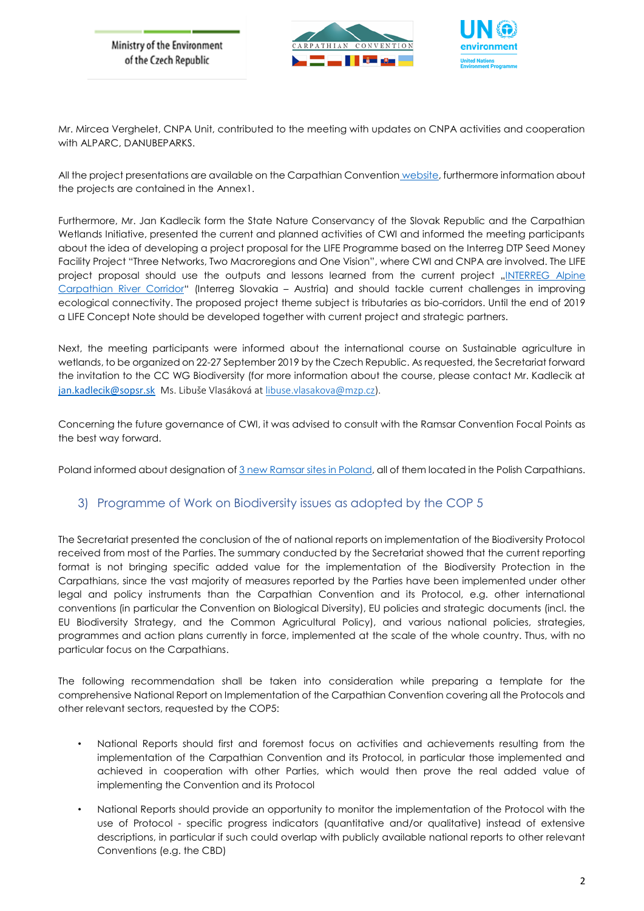



Mr. Mircea Verghelet, CNPA Unit, contributed to the meeting with updates on CNPA activities and cooperation with ALPARC, DANUBEPARKS.

All the project presentations are available on the Carpathian Convention [website,](http://www.carpathianconvention.org/eventdetailwg-biodiversity/events/id-9th-meeting-of-the-working-group-on-biodiveristy-eusdr-pa2-workshop-on-minimising-the-negative-impacts-of-power-lines-on-bird.html) furthermore information about the projects are contained in the Annex1.

Furthermore, Mr. Jan Kadlecik form the State Nature Conservancy of the Slovak Republic and the Carpathian Wetlands Initiative, presented the current and planned activities of CWI and informed the meeting participants about the idea of developing a project proposal for the LIFE Programme based on the Interreg DTP Seed Money Facility Project "Three Networks, Two Macroregions and One Vision", where CWI and CNPA are involved. The LIFE project proposal should use the outputs and lessons learned from the current project "INTERREG Alpine [Carpathian River Corridor](http://rivercorridor.com/about/)" (Interreg Slovakia – Austria) and should tackle current challenges in improving ecological connectivity. The proposed project theme subject is tributaries as bio-corridors. Until the end of 2019 a LIFE Concept Note should be developed together with current project and strategic partners.

Next, the meeting participants were informed about the international course on Sustainable agriculture in wetlands, to be organized on 22-27 September 2019 by the Czech Republic. As requested, the Secretariat forward the invitation to the CC WG Biodiversity (for more information about the course, please contact Mr. Kadlecik at [jan.kadlecik@sopsr.sk](mailto:jan.kadlecik@sopsr.sk) Ms. Libuše Vlasáková a[t libuse.vlasakova@mzp.cz\)](mailto:libuse.vlasakova@mzp.cz).

Concerning the future governance of CWI, it was advised to consult with the Ramsar Convention Focal Points as the best way forward.

Poland informed about designation o[f 3 new Ramsar sites in Poland,](https://www.ramsar.org/news/poland-names-three-new-ramsar-sites) all of them located in the Polish Carpathians.

### 3) Programme of Work on Biodiversity issues as adopted by the COP 5

The Secretariat presented the conclusion of the of national reports on implementation of the Biodiversity Protocol received from most of the Parties. The summary conducted by the Secretariat showed that the current reporting format is not bringing specific added value for the implementation of the Biodiversity Protection in the Carpathians, since the vast majority of measures reported by the Parties have been implemented under other legal and policy instruments than the Carpathian Convention and its Protocol, e.g. other international conventions (in particular the Convention on Biological Diversity), EU policies and strategic documents (incl. the EU Biodiversity Strategy, and the Common Agricultural Policy), and various national policies, strategies, programmes and action plans currently in force, implemented at the scale of the whole country. Thus, with no particular focus on the Carpathians.

The following recommendation shall be taken into consideration while preparing a template for the comprehensive National Report on Implementation of the Carpathian Convention covering all the Protocols and other relevant sectors, requested by the COP5:

- National Reports should first and foremost focus on activities and achievements resulting from the implementation of the Carpathian Convention and its Protocol, in particular those implemented and achieved in cooperation with other Parties, which would then prove the real added value of implementing the Convention and its Protocol
- National Reports should provide an opportunity to monitor the implementation of the Protocol with the use of Protocol - specific progress indicators (quantitative and/or qualitative) instead of extensive descriptions, in particular if such could overlap with publicly available national reports to other relevant Conventions (e.g. the CBD)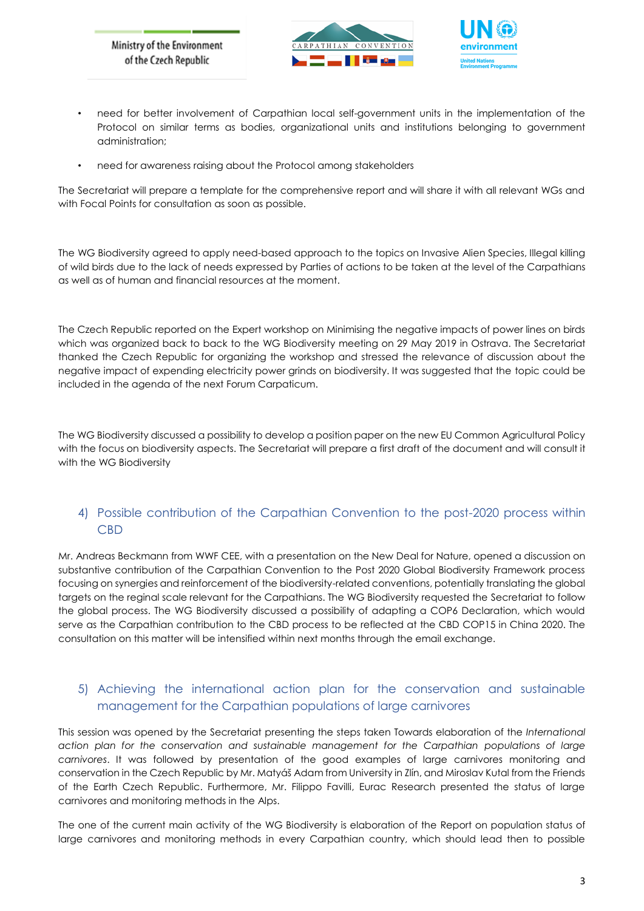



- need for better involvement of Carpathian local self-government units in the implementation of the Protocol on similar terms as bodies, organizational units and institutions belonging to government administration;
- need for awareness raising about the Protocol among stakeholders

The Secretariat will prepare a template for the comprehensive report and will share it with all relevant WGs and with Focal Points for consultation as soon as possible.

The WG Biodiversity agreed to apply need-based approach to the topics on Invasive Alien Species, Illegal killing of wild birds due to the lack of needs expressed by Parties of actions to be taken at the level of the Carpathians as well as of human and financial resources at the moment.

The Czech Republic reported on the Expert workshop on Minimising the negative impacts of power lines on birds which was organized back to back to the WG Biodiversity meeting on 29 May 2019 in Ostrava. The Secretariat thanked the Czech Republic for organizing the workshop and stressed the relevance of discussion about the negative impact of expending electricity power grinds on biodiversity. It was suggested that the topic could be included in the agenda of the next Forum Carpaticum.

The WG Biodiversity discussed a possibility to develop a position paper on the new EU Common Agricultural Policy with the focus on biodiversity aspects. The Secretariat will prepare a first draft of the document and will consult it with the WG Biodiversity

## 4) Possible contribution of the Carpathian Convention to the post-2020 process within CBD

Mr. Andreas Beckmann from WWF CEE, with a presentation on the New Deal for Nature, opened a discussion on substantive contribution of the Carpathian Convention to the Post 2020 Global Biodiversity Framework process focusing on synergies and reinforcement of the biodiversity-related conventions, potentially translating the global targets on the reginal scale relevant for the Carpathians. The WG Biodiversity requested the Secretariat to follow the global process. The WG Biodiversity discussed a possibility of adapting a COP6 Declaration, which would serve as the Carpathian contribution to the CBD process to be reflected at the CBD COP15 in China 2020. The consultation on this matter will be intensified within next months through the email exchange.

# 5) Achieving the international action plan for the conservation and sustainable management for the Carpathian populations of large carnivores

This session was opened by the Secretariat presenting the steps taken Towards elaboration of the *International action plan for the conservation and sustainable management for the Carpathian populations of large carnivores*. It was followed by presentation of the good examples of large carnivores monitoring and conservation in the Czech Republic by Mr. Matyáš Adam from University in Zlín, and Miroslav Kutal from the Friends of the Earth Czech Republic. Furthermore, Mr. Filippo Favilli, Eurac Research presented the status of large carnivores and monitoring methods in the Alps.

The one of the current main activity of the WG Biodiversity is elaboration of the Report on population status of large carnivores and monitoring methods in every Carpathian country, which should lead then to possible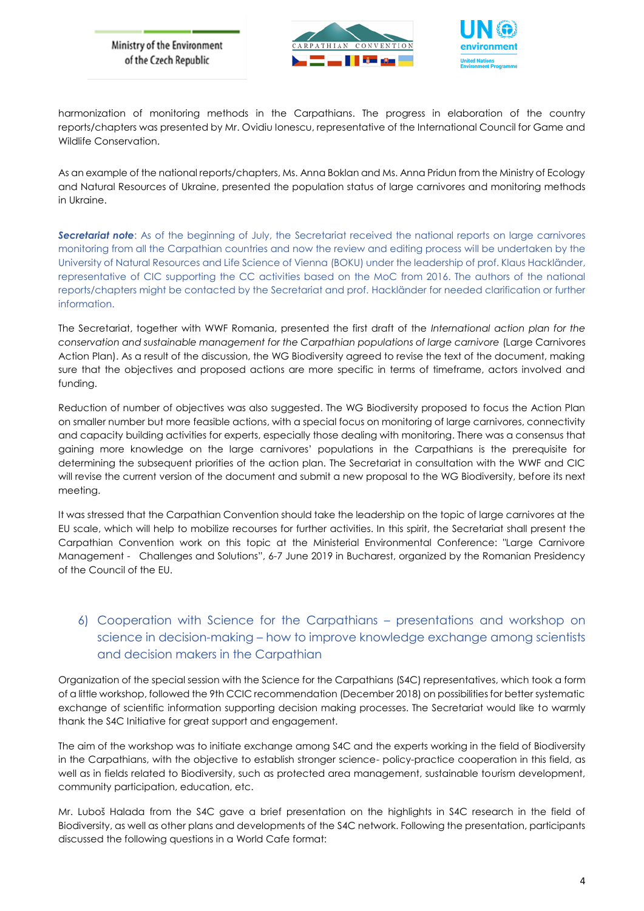Ministry of the Environment of the Czech Republic





harmonization of monitoring methods in the Carpathians. The progress in elaboration of the country reports/chapters was presented by Mr. Ovidiu Ionescu, representative of the International Council for Game and Wildlife Conservation.

As an example of the national reports/chapters, Ms. Anna Boklan and Ms. Anna Pridun from the Ministry of Ecology and Natural Resources of Ukraine, presented the population status of large carnivores and monitoring methods in Ukraine.

*Secretariat note*: As of the beginning of July, the Secretariat received the national reports on large carnivores monitoring from all the Carpathian countries and now the review and editing process will be undertaken by the University of Natural Resources and Life Science of Vienna (BOKU) under the leadership of prof. Klaus Hackländer, representative of CIC supporting the CC activities based on the MoC from 2016. The authors of the national reports/chapters might be contacted by the Secretariat and prof. Hackländer for needed clarification or further information.

The Secretariat, together with WWF Romania, presented the first draft of the *International action plan for the conservation and sustainable management for the Carpathian populations of large carnivore* (Large Carnivores Action Plan). As a result of the discussion, the WG Biodiversity agreed to revise the text of the document, making sure that the objectives and proposed actions are more specific in terms of timeframe, actors involved and funding.

Reduction of number of objectives was also suggested. The WG Biodiversity proposed to focus the Action Plan on smaller number but more feasible actions, with a special focus on monitoring of large carnivores, connectivity and capacity building activities for experts, especially those dealing with monitoring. There was a consensus that gaining more knowledge on the large carnivores' populations in the Carpathians is the prerequisite for determining the subsequent priorities of the action plan. The Secretariat in consultation with the WWF and CIC will revise the current version of the document and submit a new proposal to the WG Biodiversity, before its next meeting.

It was stressed that the Carpathian Convention should take the leadership on the topic of large carnivores at the EU scale, which will help to mobilize recourses for further activities. In this spirit, the Secretariat shall present the Carpathian Convention work on this topic at the Ministerial Environmental Conference: "Large Carnivore Management - Challenges and Solutions", 6-7 June 2019 in Bucharest, organized by the Romanian Presidency of the Council of the EU.

# 6) Cooperation with Science for the Carpathians – presentations and workshop on science in decision-making – how to improve knowledge exchange among scientists and decision makers in the Carpathian

Organization of the special session with the Science for the Carpathians (S4C) representatives, which took a form of a little workshop, followed the 9th CCIC recommendation (December 2018) on possibilities for better systematic exchange of scientific information supporting decision making processes. The Secretariat would like to warmly thank the S4C Initiative for great support and engagement.

The aim of the workshop was to initiate exchange among S4C and the experts working in the field of Biodiversity in the Carpathians, with the objective to establish stronger science- policy-practice cooperation in this field, as well as in fields related to Biodiversity, such as protected area management, sustainable tourism development, community participation, education, etc.

Mr. Luboš Halada from the S4C gave a brief presentation on the highlights in S4C research in the field of Biodiversity, as well as other plans and developments of the S4C network. Following the presentation, participants discussed the following questions in a World Cafe format: